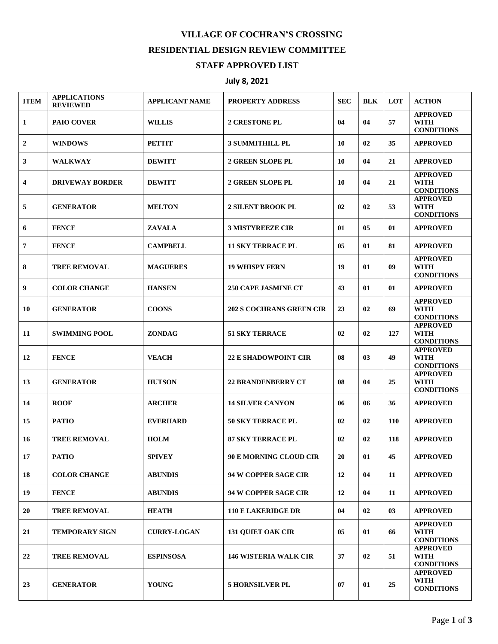## **VILLAGE OF COCHRAN'S CROSSING RESIDENTIAL DESIGN REVIEW COMMITTEE STAFF APPROVED LIST**

## **July 8, 2021**

| <b>ITEM</b>    | <b>APPLICATIONS</b><br><b>REVIEWED</b> | <b>APPLICANT NAME</b> | <b>PROPERTY ADDRESS</b>         | <b>SEC</b> | <b>BLK</b> | <b>LOT</b> | <b>ACTION</b>                                       |
|----------------|----------------------------------------|-----------------------|---------------------------------|------------|------------|------------|-----------------------------------------------------|
| $\mathbf{1}$   | <b>PAIO COVER</b>                      | <b>WILLIS</b>         | <b>2 CRESTONE PL</b>            | 04         | 04         | 57         | <b>APPROVED</b><br><b>WITH</b><br><b>CONDITIONS</b> |
| $\overline{2}$ | <b>WINDOWS</b>                         | <b>PETTIT</b>         | <b>3 SUMMITHILL PL</b>          | 10         | 02         | 35         | <b>APPROVED</b>                                     |
| 3              | <b>WALKWAY</b>                         | <b>DEWITT</b>         | 2 GREEN SLOPE PL                | 10         | 04         | 21         | <b>APPROVED</b>                                     |
| 4              | <b>DRIVEWAY BORDER</b>                 | <b>DEWITT</b>         | <b>2 GREEN SLOPE PL</b>         | 10         | 04         | 21         | <b>APPROVED</b><br>WITH<br><b>CONDITIONS</b>        |
| 5              | <b>GENERATOR</b>                       | <b>MELTON</b>         | <b>2 SILENT BROOK PL</b>        | 02         | 02         | 53         | <b>APPROVED</b><br>WITH<br><b>CONDITIONS</b>        |
| 6              | <b>FENCE</b>                           | <b>ZAVALA</b>         | <b>3 MISTYREEZE CIR</b>         | 01         | 05         | 01         | <b>APPROVED</b>                                     |
| $\overline{7}$ | <b>FENCE</b>                           | <b>CAMPBELL</b>       | <b>11 SKY TERRACE PL</b>        | 05         | 01         | 81         | <b>APPROVED</b>                                     |
| 8              | <b>TREE REMOVAL</b>                    | <b>MAGUERES</b>       | <b>19 WHISPY FERN</b>           | 19         | 01         | 09         | <b>APPROVED</b><br><b>WITH</b><br><b>CONDITIONS</b> |
| 9              | <b>COLOR CHANGE</b>                    | <b>HANSEN</b>         | <b>250 CAPE JASMINE CT</b>      | 43         | 01         | 01         | <b>APPROVED</b>                                     |
| 10             | <b>GENERATOR</b>                       | <b>COONS</b>          | <b>202 S COCHRANS GREEN CIR</b> | 23         | 02         | 69         | <b>APPROVED</b><br>WITH<br><b>CONDITIONS</b>        |
| 11             | <b>SWIMMING POOL</b>                   | <b>ZONDAG</b>         | <b>51 SKY TERRACE</b>           | 02         | 02         | 127        | <b>APPROVED</b><br><b>WITH</b><br><b>CONDITIONS</b> |
| 12             | <b>FENCE</b>                           | <b>VEACH</b>          | <b>22 E SHADOWPOINT CIR</b>     | 08         | 03         | 49         | <b>APPROVED</b><br><b>WITH</b><br><b>CONDITIONS</b> |
| 13             | <b>GENERATOR</b>                       | <b>HUTSON</b>         | <b>22 BRANDENBERRY CT</b>       | 08         | 04         | 25         | <b>APPROVED</b><br>WITH<br><b>CONDITIONS</b>        |
| 14             | <b>ROOF</b>                            | <b>ARCHER</b>         | <b>14 SILVER CANYON</b>         | 06         | 06         | 36         | <b>APPROVED</b>                                     |
| 15             | <b>PATIO</b>                           | <b>EVERHARD</b>       | <b>50 SKY TERRACE PL</b>        | 02         | 02         | <b>110</b> | <b>APPROVED</b>                                     |
| 16             | <b>TREE REMOVAL</b>                    | <b>HOLM</b>           | <b>87 SKY TERRACE PL</b>        | 02         | 02         | 118        | <b>APPROVED</b>                                     |
| 17             | <b>PATIO</b>                           | <b>SPIVEY</b>         | 90 E MORNING CLOUD CIR          | ${\bf 20}$ | 01         | 45         | <b>APPROVED</b>                                     |
| 18             | <b>COLOR CHANGE</b>                    | <b>ABUNDIS</b>        | 94 W COPPER SAGE CIR            | 12         | 04         | 11         | <b>APPROVED</b>                                     |
| 19             | <b>FENCE</b>                           | <b>ABUNDIS</b>        | 94 W COPPER SAGE CIR            | 12         | 04         | 11         | <b>APPROVED</b>                                     |
| 20             | <b>TREE REMOVAL</b>                    | <b>HEATH</b>          | <b>110 E LAKERIDGE DR</b>       | 04         | 02         | 03         | <b>APPROVED</b>                                     |
| 21             | <b>TEMPORARY SIGN</b>                  | <b>CURRY-LOGAN</b>    | <b>131 QUIET OAK CIR</b>        | 05         | 01         | 66         | <b>APPROVED</b><br><b>WITH</b><br><b>CONDITIONS</b> |
| 22             | <b>TREE REMOVAL</b>                    | <b>ESPINSOSA</b>      | <b>146 WISTERIA WALK CIR</b>    | 37         | 02         | 51         | <b>APPROVED</b><br><b>WITH</b><br><b>CONDITIONS</b> |
| 23             | <b>GENERATOR</b>                       | <b>YOUNG</b>          | <b>5 HORNSILVER PL</b>          | 07         | 01         | 25         | <b>APPROVED</b><br><b>WITH</b><br><b>CONDITIONS</b> |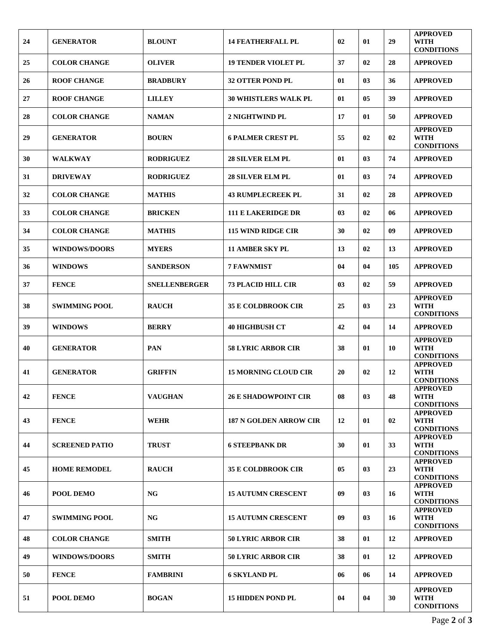| 24 | <b>GENERATOR</b>      | <b>BLOUNT</b>        | <b>14 FEATHERFALL PL</b>      | 02             | 01 | 29  | <b>APPROVED</b><br><b>WITH</b>                      |
|----|-----------------------|----------------------|-------------------------------|----------------|----|-----|-----------------------------------------------------|
| 25 | <b>COLOR CHANGE</b>   | <b>OLIVER</b>        | <b>19 TENDER VIOLET PL</b>    | 37             | 02 | 28  | <b>CONDITIONS</b><br><b>APPROVED</b>                |
| 26 | <b>ROOF CHANGE</b>    | <b>BRADBURY</b>      | <b>32 OTTER POND PL</b>       | 01             | 03 | 36  | <b>APPROVED</b>                                     |
| 27 | <b>ROOF CHANGE</b>    | <b>LILLEY</b>        | <b>30 WHISTLERS WALK PL</b>   | 01             | 05 | 39  | <b>APPROVED</b>                                     |
| 28 | <b>COLOR CHANGE</b>   | <b>NAMAN</b>         | 2 NIGHTWIND PL                | 17             | 01 | 50  | <b>APPROVED</b>                                     |
| 29 | <b>GENERATOR</b>      | <b>BOURN</b>         | <b>6 PALMER CREST PL</b>      | 55             | 02 | 02  | <b>APPROVED</b><br><b>WITH</b><br><b>CONDITIONS</b> |
| 30 | <b>WALKWAY</b>        | <b>RODRIGUEZ</b>     | <b>28 SILVER ELM PL</b>       | 01             | 03 | 74  | <b>APPROVED</b>                                     |
| 31 | <b>DRIVEWAY</b>       | <b>RODRIGUEZ</b>     | <b>28 SILVER ELM PL</b>       | 01             | 03 | 74  | <b>APPROVED</b>                                     |
| 32 | <b>COLOR CHANGE</b>   | <b>MATHIS</b>        | <b>43 RUMPLECREEK PL</b>      | 31             | 02 | 28  | <b>APPROVED</b>                                     |
| 33 | <b>COLOR CHANGE</b>   | <b>BRICKEN</b>       | <b>111 E LAKERIDGE DR</b>     | 0 <sup>3</sup> | 02 | 06  | <b>APPROVED</b>                                     |
| 34 | <b>COLOR CHANGE</b>   | <b>MATHIS</b>        | 115 WIND RIDGE CIR            | 30             | 02 | 09  | <b>APPROVED</b>                                     |
| 35 | <b>WINDOWS/DOORS</b>  | <b>MYERS</b>         | <b>11 AMBER SKY PL</b>        | 13             | 02 | 13  | <b>APPROVED</b>                                     |
| 36 | <b>WINDOWS</b>        | <b>SANDERSON</b>     | <b>7 FAWNMIST</b>             | 04             | 04 | 105 | <b>APPROVED</b>                                     |
| 37 | <b>FENCE</b>          | <b>SNELLENBERGER</b> | <b>73 PLACID HILL CIR</b>     | 0 <sup>3</sup> | 02 | 59  | <b>APPROVED</b>                                     |
| 38 | <b>SWIMMING POOL</b>  | <b>RAUCH</b>         | <b>35 E COLDBROOK CIR</b>     | 25             | 03 | 23  | <b>APPROVED</b><br><b>WITH</b><br><b>CONDITIONS</b> |
| 39 | <b>WINDOWS</b>        | <b>BERRY</b>         | <b>40 HIGHBUSH CT</b>         | 42             | 04 | 14  | <b>APPROVED</b>                                     |
| 40 | <b>GENERATOR</b>      | <b>PAN</b>           | <b>58 LYRIC ARBOR CIR</b>     | 38             | 01 | 10  | <b>APPROVED</b><br><b>WITH</b><br><b>CONDITIONS</b> |
| 41 | <b>GENERATOR</b>      | <b>GRIFFIN</b>       | <b>15 MORNING CLOUD CIR</b>   | 20             | 02 | 12  | <b>APPROVED</b><br><b>WITH</b><br><b>CONDITIONS</b> |
| 42 | <b>FENCE</b>          | <b>VAUGHAN</b>       | <b>26 E SHADOWPOINT CIR</b>   | 08             | 03 | 48  | <b>APPROVED</b><br><b>WITH</b><br><b>CONDITIONS</b> |
| 43 | <b>FENCE</b>          | <b>WEHR</b>          | <b>187 N GOLDEN ARROW CIR</b> | 12             | 01 | 02  | <b>APPROVED</b><br><b>WITH</b><br><b>CONDITIONS</b> |
| 44 | <b>SCREENED PATIO</b> | <b>TRUST</b>         | <b>6 STEEPBANK DR</b>         | 30             | 01 | 33  | <b>APPROVED</b><br><b>WITH</b><br><b>CONDITIONS</b> |
| 45 | <b>HOME REMODEL</b>   | <b>RAUCH</b>         | <b>35 E COLDBROOK CIR</b>     | 05             | 03 | 23  | <b>APPROVED</b><br><b>WITH</b><br><b>CONDITIONS</b> |
| 46 | POOL DEMO             | <b>NG</b>            | <b>15 AUTUMN CRESCENT</b>     | 09             | 03 | 16  | <b>APPROVED</b><br><b>WITH</b><br><b>CONDITIONS</b> |
| 47 | <b>SWIMMING POOL</b>  | <b>NG</b>            | <b>15 AUTUMN CRESCENT</b>     | 09             | 03 | 16  | <b>APPROVED</b><br><b>WITH</b><br><b>CONDITIONS</b> |
| 48 | <b>COLOR CHANGE</b>   | <b>SMITH</b>         | <b>50 LYRIC ARBOR CIR</b>     | 38             | 01 | 12  | <b>APPROVED</b>                                     |
| 49 | <b>WINDOWS/DOORS</b>  | <b>SMITH</b>         | 50 LYRIC ARBOR CIR            | 38             | 01 | 12  | <b>APPROVED</b>                                     |
| 50 | <b>FENCE</b>          | <b>FAMBRINI</b>      | <b>6 SKYLAND PL</b>           | 06             | 06 | 14  | <b>APPROVED</b>                                     |
| 51 | <b>POOL DEMO</b>      | <b>BOGAN</b>         | <b>15 HIDDEN POND PL</b>      | 04             | 04 | 30  | <b>APPROVED</b><br>WITH<br><b>CONDITIONS</b>        |